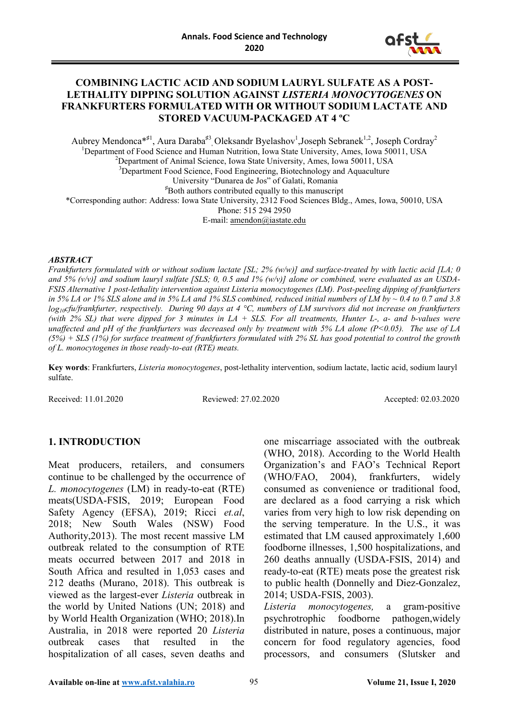

#### **COMBINING LACTIC ACID AND SODIUM LAURYL SULFATE AS A POST-LETHALITY DIPPING SOLUTION AGAINST** *LISTERIA MONOCYTOGENES* **ON FRANKFURTERS FORMULATED WITH OR WITHOUT SODIUM LACTATE AND STORED VACUUM-PACKAGED AT 4 ºC**

Aubrey Mendonca<sup>\*#1</sup>, Aura Daraba<sup>#3</sup>, Oleksandr Byelashov<sup>1</sup>,Joseph Sebranek<sup>1,2</sup>, Joseph Cordray<sup>2</sup> <sup>1</sup>Department of Food Science and Human Nutrition, Iowa State University, Ames, Iowa 50011, USA<br><sup>2</sup>Department of Animal Science, Iowa State University, Ames, Iowa 50011, USA <sup>2</sup>Department of Animal Science, Iowa State University, Ames, Iowa 50011, USA <sup>3</sup>Department Food Science, Food Engineering, Biotechnology and Aquaculture University "Dunarea de Jos" of Galati, Romania **♯** Both authors contributed equally to this manuscript \*Corresponding author: Address: Iowa State University, 2312 Food Sciences Bldg., Ames, Iowa, 50010, USA Phone: 515 294 2950 E-mail: [amendon@iastate.edu](mailto:amendon@iastate.edu)

#### *ABSTRACT*

*Frankfurters formulated with or without sodium lactate [SL; 2% (w/w)] and surface-treated by with lactic acid [LA; 0 and 5% (v/v)] and sodium lauryl sulfate [SLS; 0, 0.5 and 1% (w/v)] alone or combined, were evaluated as an USDA-FSIS Alternative 1 post-lethality intervention against Listeria monocytogenes (LM). Post-peeling dipping of frankfurters in 5% LA or 1% SLS alone and in 5% LA and 1% SLS combined, reduced initial numbers of LM by ~ 0.4 to 0.7 and 3.8 log10cfu/frankfurter, respectively. During 90 days at 4 °C, numbers of LM survivors did not increase on frankfurters (with 2% SL) that were dipped for 3 minutes in LA + SLS. For all treatments, Hunter L-, a- and b-values were unaffected and pH of the frankfurters was decreased only by treatment with 5% LA alone (P<0.05). The use of LA (5%) + SLS (1%) for surface treatment of frankfurters formulated with 2% SL has good potential to control the growth of L. monocytogenes in those ready-to-eat (RTE) meats.* 

**Key words**: Frankfurters, *Listeria monocytogenes*, post-lethality intervention, sodium lactate, lactic acid, sodium lauryl sulfate.

Received: 11.01.2020 Reviewed: 27.02.2020 Accepted: 02.03.2020

### **1. INTRODUCTION**

Meat producers, retailers, and consumers continue to be challenged by the occurrence of *L. monocytogenes* (LM) in ready-to-eat (RTE) meats(USDA-FSIS, 2019; European Food Safety Agency (EFSA), 2019; Ricci *et.al*, 2018; New South Wales (NSW) Food Authority,2013). The most recent massive LM outbreak related to the consumption of RTE meats occurred between 2017 and 2018 in South Africa and resulted in 1,053 cases and 212 deaths (Murano, 2018). This outbreak is viewed as the largest-ever *Listeria* outbreak in the world by United Nations (UN; 2018) and by World Health Organization (WHO; 2018).In Australia, in 2018 were reported 20 *Listeria*  outbreak cases that resulted in the hospitalization of all cases, seven deaths and

one miscarriage associated with the outbreak (WHO, 2018). According to the World Health Organization's and FAO's Technical Report (WHO/FAO, 2004), frankfurters, widely consumed as convenience or traditional food, are declared as a food carrying a risk which varies from very high to low risk depending on the serving temperature. In the U.S., it was estimated that LM caused approximately 1,600 foodborne illnesses, 1,500 hospitalizations, and 260 deaths annually (USDA-FSIS, 2014) and ready-to-eat (RTE) meats pose the greatest risk to public health (Donnelly and Diez-Gonzalez, 2014; USDA-FSIS, 2003).

*Listeria monocytogenes,* a gram-positive psychrotrophic foodborne pathogen,widely distributed in nature, poses a continuous, major concern for food regulatory agencies, food processors, and consumers (Slutsker and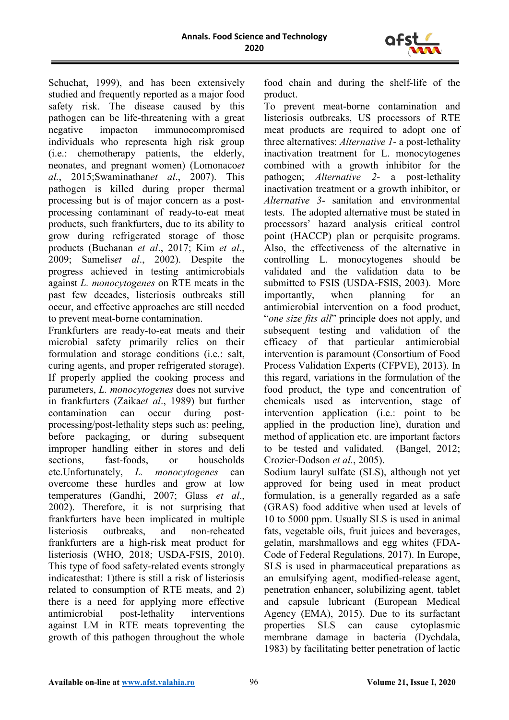

Schuchat, 1999), and has been extensively studied and frequently reported as a major food safety risk. The disease caused by this pathogen can be life-threatening with a great negative impacton immunocompromised individuals who representa high risk group (i.e.: chemotherapy patients, the elderly, neonates, and pregnant women) (Lomonaco*et al.*, 2015;Swaminathan*et al*., 2007). This pathogen is killed during proper thermal processing but is of major concern as a postprocessing contaminant of ready-to-eat meat products, such frankfurters, due to its ability to grow during refrigerated storage of those products (Buchanan *et al*., 2017; Kim *et al*., 2009; Samelis*et al*., 2002). Despite the progress achieved in testing antimicrobials against *L. monocytogenes* on RTE meats in the past few decades, listeriosis outbreaks still occur, and effective approaches are still needed to prevent meat-borne contamination.

Frankfurters are ready-to-eat meats and their microbial safety primarily relies on their formulation and storage conditions (i.e.: salt, curing agents, and proper refrigerated storage). If properly applied the cooking process and parameters, *L. monocytogenes* does not survive in frankfurters (Zaika*et al*., 1989) but further contamination can occur during postprocessing/post-lethality steps such as: peeling, before packaging, or during subsequent improper handling either in stores and deli sections, fast-foods, or households etc.Unfortunately, *L. monocytogenes* can overcome these hurdles and grow at low temperatures (Gandhi, 2007; Glass *et al*., 2002). Therefore, it is not surprising that frankfurters have been implicated in multiple listeriosis outbreaks, and non-reheated frankfurters are a high-risk meat product for listeriosis (WHO, 2018; USDA-FSIS, 2010). This type of food safety-related events strongly indicatesthat: 1)there is still a risk of listeriosis related to consumption of RTE meats, and 2) there is a need for applying more effective antimicrobial post-lethality interventions against LM in RTE meats topreventing the growth of this pathogen throughout the whole

food chain and during the shelf-life of the product.

To prevent meat-borne contamination and listeriosis outbreaks, US processors of RTE meat products are required to adopt one of three alternatives: *Alternative 1*- a post-lethality inactivation treatment for L. monocytogenes combined with a growth inhibitor for the pathogen; *Alternative 2*- a post-lethality inactivation treatment or a growth inhibitor, or *Alternative 3*- sanitation and environmental tests. The adopted alternative must be stated in processors' hazard analysis critical control point (HACCP) plan or perquisite programs. Also, the effectiveness of the alternative in controlling L. monocytogenes should be validated and the validation data to be submitted to FSIS (USDA-FSIS, 2003). More importantly, when planning for an antimicrobial intervention on a food product, "*one size fits all*" principle does not apply, and subsequent testing and validation of the efficacy of that particular antimicrobial intervention is paramount (Consortium of Food Process Validation Experts (CFPVE), 2013). In this regard, variations in the formulation of the food product, the type and concentration of chemicals used as intervention, stage of intervention application (i.e.: point to be applied in the production line), duration and method of application etc. are important factors to be tested and validated. (Bangel, 2012; Crozier-Dodson *et al.*, 2005).

Sodium lauryl sulfate (SLS), although not yet approved for being used in meat product formulation, is a generally regarded as a safe (GRAS) food additive when used at levels of 10 to 5000 ppm. Usually SLS is used in animal fats, vegetable oils, fruit juices and beverages, gelatin, marshmallows and egg whites (FDA-Code of Federal Regulations, 2017). In Europe, SLS is used in pharmaceutical preparations as an emulsifying agent, modified-release agent, penetration enhancer, solubilizing agent, tablet and capsule lubricant (European Medical Agency (EMA), 2015). Due to its surfactant properties SLS can cause cytoplasmic membrane damage in bacteria (Dychdala, 1983) by facilitating better penetration of lactic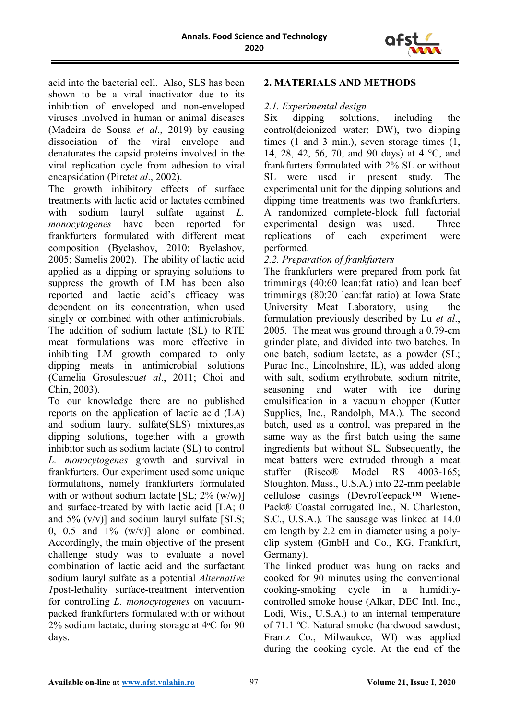

acid into the bacterial cell. Also, SLS has been shown to be a viral inactivator due to its inhibition of enveloped and non-enveloped viruses involved in human or animal diseases (Madeira de Sousa *et al*., 2019) by causing dissociation of the viral envelope and denaturates the capsid proteins involved in the viral replication cycle from adhesion to viral encapsidation (Piret*et al*., 2002).

The growth inhibitory effects of surface treatments with lactic acid or lactates combined<br>with sodium lauryl sulfate against  $L$ . with sodium lauryl sulfate against *L. monocytogenes* have been reported for frankfurters formulated with different meat composition (Byelashov, 2010; Byelashov, 2005; Samelis 2002). The ability of lactic acid applied as a dipping or spraying solutions to suppress the growth of LM has been also reported and lactic acid's efficacy was dependent on its concentration, when used singly or combined with other antimicrobials. The addition of sodium lactate (SL) to RTE meat formulations was more effective in inhibiting LM growth compared to only dipping meats in antimicrobial solutions (Camelia Grosulescu*et al*., 2011; Choi and Chin, 2003).

To our knowledge there are no published reports on the application of lactic acid (LA) and sodium lauryl sulfate(SLS) mixtures,as dipping solutions, together with a growth inhibitor such as sodium lactate (SL) to control *L. monocytogenes* growth and survival in frankfurters. Our experiment used some unique formulations, namely frankfurters formulated with or without sodium lactate  $[SL; 2\% (w/w)]$ and surface-treated by with lactic acid [LA; 0 and  $5\%$  (v/v)] and sodium lauryl sulfate [SLS; 0, 0.5 and  $1\%$  (w/v)] alone or combined. Accordingly, the main objective of the present challenge study was to evaluate a novel combination of lactic acid and the surfactant sodium lauryl sulfate as a potential *Alternative 1*post-lethality surface-treatment intervention for controlling *L. monocytogenes* on vacuumpacked frankfurters formulated with or without 2% sodium lactate, during storage at 4ᵒC for 90 days.

#### **2. MATERIALS AND METHODS**

#### *2.1. Experimental design*

Six dipping solutions, including the control(deionized water; DW), two dipping times (1 and 3 min.), seven storage times (1, 14, 28, 42, 56, 70, and 90 days) at 4 °C, and frankfurters formulated with 2% SL or without SL were used in present study. The experimental unit for the dipping solutions and dipping time treatments was two frankfurters. A randomized complete-block full factorial experimental design was used. Three replications of each experiment were performed.

#### *2.2. Preparation of frankfurters*

The frankfurters were prepared from pork fat trimmings (40:60 lean:fat ratio) and lean beef trimmings (80:20 lean:fat ratio) at Iowa State University Meat Laboratory, using the formulation previously described by Lu *et al*., 2005. The meat was ground through a 0.79-cm grinder plate, and divided into two batches. In one batch, sodium lactate, as a powder (SL; Purac Inc., Lincolnshire, IL), was added along with salt, sodium erythrobate, sodium nitrite, seasoning and water with ice during emulsification in a vacuum chopper (Kutter Supplies, Inc., Randolph, MA.). The second batch, used as a control, was prepared in the same way as the first batch using the same ingredients but without SL. Subsequently, the meat batters were extruded through a meat stuffer (Risco® Model RS 4003-165; Stoughton, Mass., U.S.A.) into 22-mm peelable cellulose casings (DevroTeepack™ Wiene-Pack® Coastal corrugated Inc., N. Charleston, S.C., U.S.A.). The sausage was linked at 14.0 cm length by 2.2 cm in diameter using a polyclip system (GmbH and Co., KG, Frankfurt, Germany).

The linked product was hung on racks and cooked for 90 minutes using the conventional cooking-smoking cycle in a humiditycontrolled smoke house (Alkar, DEC Intl. Inc., Lodi, Wis., U.S.A.) to an internal temperature of 71.1 ºC. Natural smoke (hardwood sawdust; Frantz Co., Milwaukee, WI) was applied during the cooking cycle. At the end of the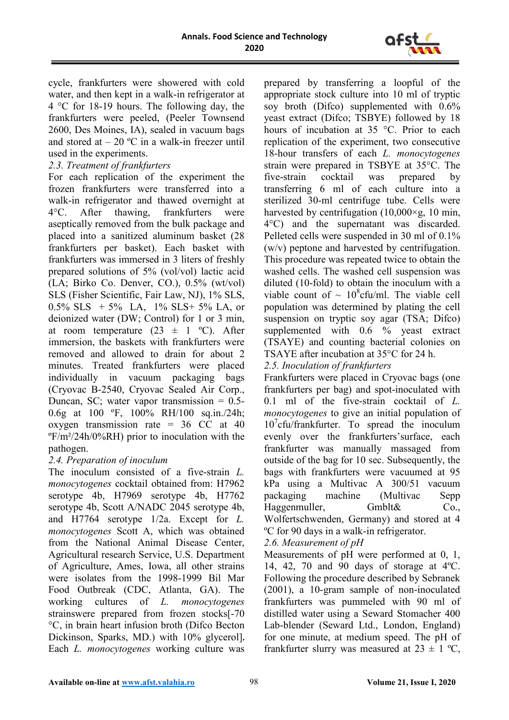

cycle, frankfurters were showered with cold water, and then kept in a walk-in refrigerator at 4 °C for 18-19 hours. The following day, the frankfurters were peeled, (Peeler Townsend 2600, Des Moines, IA), sealed in vacuum bags and stored at  $-20$  °C in a walk-in freezer until used in the experiments.

# *2.3. Treatment of frankfurters*

For each replication of the experiment the frozen frankfurters were transferred into a walk-in refrigerator and thawed overnight at 4°C. After thawing, frankfurters were aseptically removed from the bulk package and placed into a sanitized aluminum basket (28 frankfurters per basket). Each basket with frankfurters was immersed in 3 liters of freshly prepared solutions of 5% (vol/vol) lactic acid (LA; Birko Co. Denver, CO.), 0.5% (wt/vol) SLS (Fisher Scientific, Fair Law, NJ), 1% SLS,  $0.5\%$  SLS + 5% LA, 1% SLS+ 5% LA, or deionized water (DW; Control) for 1 or 3 min, at room temperature  $(23 \pm 1 \degree \degree \degree C)$ . After immersion, the baskets with frankfurters were removed and allowed to drain for about 2 minutes. Treated frankfurters were placed individually in vacuum packaging bags (Cryovac B-2540, Cryovac Sealed Air Corp., Duncan, SC; water vapor transmission = 0.5- 0.6g at 100 ºF, 100% RH/100 sq.in./24h; oxygen transmission rate =  $36$  CC at 40 ºF/m²/24h/0%RH) prior to inoculation with the pathogen.

### *2.4. Preparation of inoculum*

The inoculum consisted of a five-strain *L. monocytogenes* cocktail obtained from: H7962 serotype 4b, H7969 serotype 4b, H7762 serotype 4b, Scott A/NADC 2045 serotype 4b, and H7764 serotype 1/2a. Except for *L. monocytogenes* Scott Α, which was obtained from the National Animal Disease Center, Agricultural research Service, U.S. Department of Agriculture, Ames, Iowa, all other strains were isolates from the 1998-1999 Bil Mar Food Outbreak (CDC, Atlanta, GA). The working cultures of *L. monocytogenes*  strainswere prepared from frozen stocks[-70 °C, in brain heart infusion broth (Difco Becton Dickinson, Sparks, MD.) with 10% glycerol]**.** Each *L. monocytogenes* working culture was prepared by transferring a loopful of the appropriate stock culture into 10 ml of tryptic soy broth (Difco) supplemented with 0.6% yeast extract (Difco; TSBYE) followed by 18 hours of incubation at 35 °C. Prior to each replication of the experiment, two consecutive 18-hour transfers of each *L. monocytogenes* strain were prepared in TSBYE at 35°C. The five-strain cocktail was prepared by transferring 6 ml of each culture into a sterilized 30-ml centrifuge tube. Cells were harvested by centrifugation  $(10,000 \times g, 10 \text{ min},$ 4°C) and the supernatant was discarded. Pelleted cells were suspended in 30 ml of 0.1% (w/v) peptone and harvested by centrifugation. This procedure was repeated twice to obtain the washed cells. The washed cell suspension was diluted (10-fold) to obtain the inoculum with a viable count of  $\sim 10^8$ cfu/ml. The viable cell population was determined by plating the cell suspension on tryptic soy agar (TSA; Difco) supplemented with 0.6 % yeast extract (TSAYE) and counting bacterial colonies on TSAYE after incubation at 35°C for 24 h.

# *2.5. Inoculation of frankfurters*

Frankfurters were placed in Cryovac bags (one frankfurters per bag) and spot-inoculated with 0.1 ml of the five-strain cocktail of *L. monocytogenes* to give an initial population of 10<sup>7</sup> cfu/frankfurter. To spread the inoculum evenly over the frankfurters'surface, each frankfurter was manually massaged from outside of the bag for 10 sec. Subsequently, the bags with frankfurters were vacuumed at 95 kPa using a Multivac A 300/51 vacuum packaging machine (Multivac Sepp Haggenmuller, Gmblt& Co., Wolfertschwenden, Germany) and stored at 4 ºC for 90 days in a walk-in refrigerator.

### *2.6. Measurement of pH*

Measurements of pH were performed at 0, 1, 14, 42, 70 and 90 days of storage at 4ºC. Following the procedure described by Sebranek (2001), a 10-gram sample of non-inoculated frankfurters was pummeled with 90 ml of distilled water using a Seward Stomacher 400 Lab-blender (Seward Ltd., London, England) for one minute, at medium speed. The pH of frankfurter slurry was measured at  $23 \pm 1$  °C,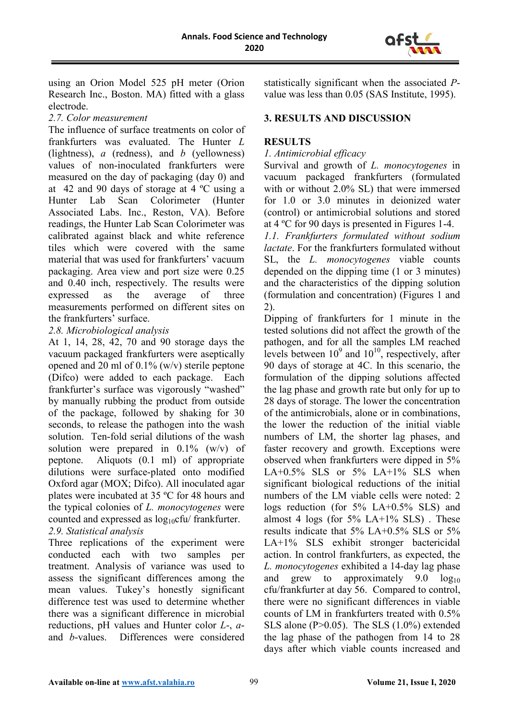

using an Orion Model 525 pH meter (Orion Research Inc., Boston. MA) fitted with a glass electrode.

#### *2.7. Color measurement*

The influence of surface treatments on color of frankfurters was evaluated. The Hunter *L* (lightness), *a* (redness), and *b* (yellowness) values of non-inoculated frankfurters were measured on the day of packaging (day 0) and at 42 and 90 days of storage at 4 ºC using a Hunter Lab Scan Colorimeter (Hunter Associated Labs. Inc., Reston, VA). Before readings, the Hunter Lab Scan Colorimeter was calibrated against black and white reference tiles which were covered with the same material that was used for frankfurters' vacuum packaging. Area view and port size were 0.25 and 0.40 inch, respectively. The results were expressed as the average of three measurements performed on different sites on the frankfurters' surface.

### *2.8. Microbiological analysis*

At 1, 14, 28, 42, 70 and 90 storage days the vacuum packaged frankfurters were aseptically opened and 20 ml of 0.1% (w/v) sterile peptone (Difco) were added to each package. Each frankfurter's surface was vigorously "washed" by manually rubbing the product from outside of the package, followed by shaking for 30 seconds, to release the pathogen into the wash solution. Ten-fold serial dilutions of the wash solution were prepared in  $0.1\%$  (w/v) of peptone. Aliquots (0.1 ml) of appropriate dilutions were surface-plated onto modified Oxford agar (MOX; Difco). All inoculated agar plates were incubated at 35 ºC for 48 hours and the typical colonies of *L. monocytogenes* were counted and expressed as  $log_{10}$ cfu/ frankfurter. *2.9. Statistical analysis*

#### Three replications of the experiment were conducted each with two samples per treatment. Analysis of variance was used to assess the significant differences among the mean values. Tukey's honestly significant difference test was used to determine whether there was a significant difference in microbial reductions, pH values and Hunter color *L*-, *a*and *b*-values. Differences were considered

statistically significant when the associated *P*value was less than 0.05 (SAS Institute, 1995).

# **3. RESULTS AND DISCUSSION**

# **RESULTS**

#### *1. Antimicrobial efficacy*

Survival and growth of *L. monocytogenes* in vacuum packaged frankfurters (formulated with or without 2.0% SL) that were immersed for 1.0 or 3.0 minutes in deionized water (control) or antimicrobial solutions and stored at 4 ºC for 90 days is presented in Figures 1-4.

*1.1. Frankfurters formulated without sodium lactate*. For the frankfurters formulated without SL, the *L. monocytogenes* viable counts depended on the dipping time (1 or 3 minutes) and the characteristics of the dipping solution (formulation and concentration) (Figures 1 and 2).

Dipping of frankfurters for 1 minute in the tested solutions did not affect the growth of the pathogen, and for all the samples LM reached levels between  $10^9$  and  $10^{10}$ , respectively, after 90 days of storage at 4C. In this scenario, the formulation of the dipping solutions affected the lag phase and growth rate but only for up to 28 days of storage. The lower the concentration of the antimicrobials, alone or in combinations, the lower the reduction of the initial viable numbers of LM, the shorter lag phases, and faster recovery and growth. Exceptions were observed when frankfurters were dipped in 5% LA+ $0.5\%$  SLS or  $5\%$  LA+ $1\%$  SLS when significant biological reductions of the initial numbers of the LM viable cells were noted: 2 logs reduction (for 5% LA+0.5% SLS) and almost 4 logs (for  $5\%$  LA+1% SLS). These results indicate that 5% LA+0.5% SLS or 5% LA+1% SLS exhibit stronger bactericidal action. In control frankfurters, as expected, the *L. monocytogenes* exhibited a 14-day lag phase and grew to approximately  $9.0 \log_{10}$ cfu/frankfurter at day 56. Compared to control, there were no significant differences in viable counts of LM in frankfurters treated with 0.5% SLS alone (P>0.05). The SLS (1.0%) extended the lag phase of the pathogen from 14 to 28 days after which viable counts increased and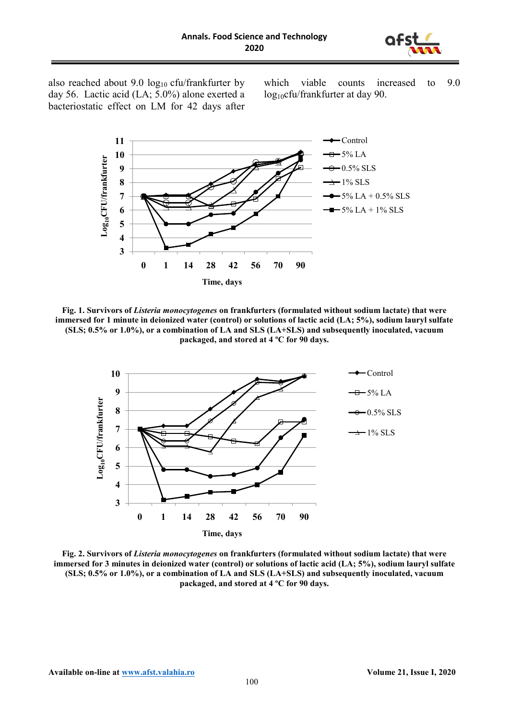

also reached about 9.0  $log_{10}$  cfu/frankfurter by day 56. Lactic acid (LA; 5.0%) alone exerted a bacteriostatic effect on LM for 42 days after

which viable counts increased to 9.0 log<sub>10</sub>cfu/frankfurter at day 90.



**Fig. 1. Survivors of** *Listeria monocytogenes* **on frankfurters (formulated without sodium lactate) that were immersed for 1 minute in deionized water (control) or solutions of lactic acid (LA; 5%), sodium lauryl sulfate (SLS; 0.5% or 1.0%), or a combination of LA and SLS (LA+SLS) and subsequently inoculated, vacuum packaged, and stored at 4 ºC for 90 days.**



**Fig. 2. Survivors of** *Listeria monocytogenes* **on frankfurters (formulated without sodium lactate) that were immersed for 3 minutes in deionized water (control) or solutions of lactic acid (LA; 5%), sodium lauryl sulfate (SLS; 0.5% or 1.0%), or a combination of LA and SLS (LA+SLS) and subsequently inoculated, vacuum packaged, and stored at 4 ºC for 90 days.**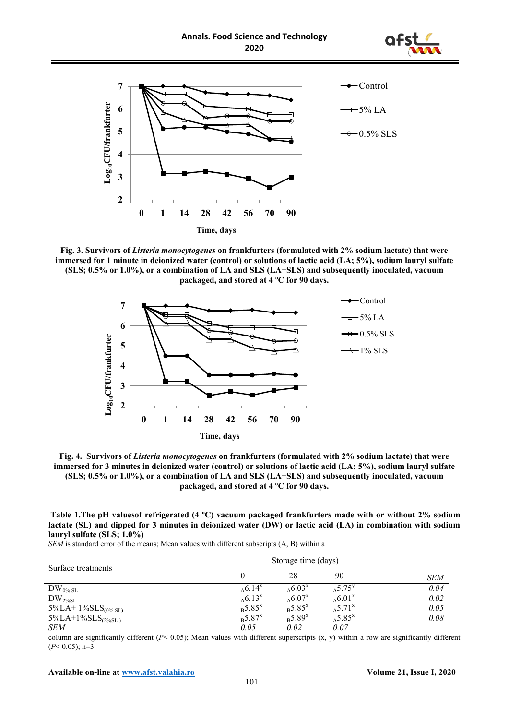



**Fig. 3. Survivors of** *Listeria monocytogenes* **on frankfurters (formulated with 2% sodium lactate) that were immersed for 1 minute in deionized water (control) or solutions of lactic acid (LA; 5%), sodium lauryl sulfate (SLS; 0.5% or 1.0%), or a combination of LA and SLS (LA+SLS) and subsequently inoculated, vacuum packaged, and stored at 4 ºC for 90 days.**



**Fig. 4. Survivors of** *Listeria monocytogenes* **on frankfurters (formulated with 2% sodium lactate) that were immersed for 3 minutes in deionized water (control) or solutions of lactic acid (LA; 5%), sodium lauryl sulfate (SLS; 0.5% or 1.0%), or a combination of LA and SLS (LA+SLS) and subsequently inoculated, vacuum packaged, and stored at 4 ºC for 90 days.**

|  | Table 1. The pH values of refrigerated (4 °C) vacuum packaged frankfurters made with or without 2% sodium    |  |  |  |  |  |
|--|--------------------------------------------------------------------------------------------------------------|--|--|--|--|--|
|  | lactate (SL) and dipped for 3 minutes in deionized water (DW) or lactic acid (LA) in combination with sodium |  |  |  |  |  |
|  | $laurv1$ sulfate (SLS; $1.0\%$ )                                                                             |  |  |  |  |  |

*SEM* is standard error of the means; Mean values with different subscripts (Α, B) within a

| Surface treatments                 | Storage time (days)           |                               |                          |            |
|------------------------------------|-------------------------------|-------------------------------|--------------------------|------------|
|                                    | 0                             | 28                            | 90                       | <b>SEM</b> |
| $DW_{0\% SL}$                      | $_{A}6.14^{x}$                | $_{A}6.03^{x}$                | $_{A}5.75^y$             | 0.04       |
| $DW_{2\%SL}$                       | $_{A}6.13^{x}$                | $_{A}6.07^{x}$                | $_{A}6.01^{x}$           | 0.02       |
| 5%LA+ $1\%$ SLS <sub>(0% SL)</sub> | $B_{\rm B}$ 5.85 <sup>x</sup> | $B_{\rm B}$ 5.85 <sup>x</sup> | $_{A}$ 5.71 <sup>x</sup> | 0.05       |
| $5\%$ LA+1%SLS <sub>(2%SL)</sub>   | $_{B}$ 5.87 <sup>x</sup>      | $B_{\rm B}$ 5.89 <sup>x</sup> | $_{A}5.85^{x}$           | 0.08       |
| SEM                                | 0.05                          | 0.02                          | 0.07                     |            |

column are significantly different (*P*< 0.05); Mean values with different superscripts (x, y) within a row are significantly different  $(P< 0.05)$ ; n=3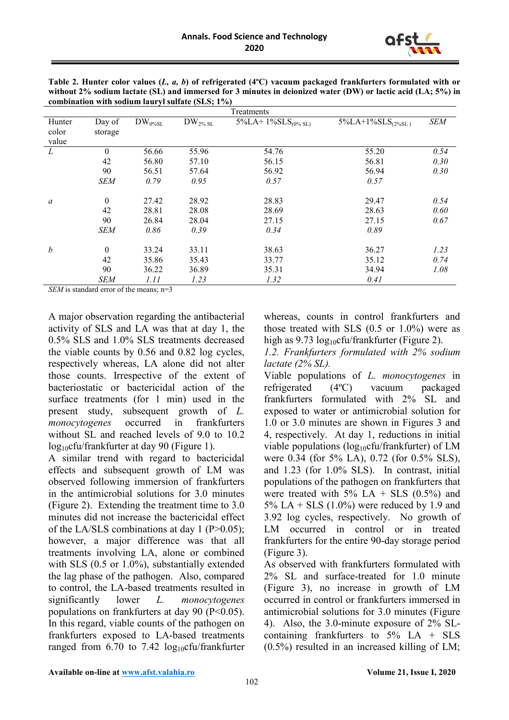

| <b>SEM</b> |
|------------|
|            |
|            |
|            |
| 0.54       |
| 0.30       |
| 0.30       |
|            |
| 0.54       |
| 0.60       |
| 0.67       |
|            |
| 1.23       |
| 0.74       |
| 1.08       |
|            |
|            |

**Table 2. Hunter color values (***L, a, b***) of refrigerated (4ºC) vacuum packaged frankfurters formulated with or without 2% sodium lactate (SL) and immersed for 3 minutes in deionized water (DW) or lactic acid (LA; 5%) in combination with sodium lauryl sulfate (SLS; 1%)**

*SEM* is standard error of the means; n=3

A major observation regarding the antibacterial activity of SLS and LA was that at day 1, the 0.5% SLS and 1.0% SLS treatments decreased the viable counts by 0.56 and 0.82 log cycles, respectively whereas, LA alone did not alter those counts. Irrespective of the extent of bacteriostatic or bactericidal action of the surface treatments (for 1 min) used in the present study, subsequent growth of *L. monocytogenes* occurred in frankfurters without SL and reached levels of 9.0 to 10.2 log10cfu/frankfurter at day 90 (Figure 1).

A similar trend with regard to bactericidal effects and subsequent growth of LM was observed following immersion of frankfurters in the antimicrobial solutions for 3.0 minutes (Figure 2). Extending the treatment time to 3.0 minutes did not increase the bactericidal effect of the LA/SLS combinations at day 1 ( $P > 0.05$ ); however, a major difference was that all treatments involving LA, alone or combined with SLS (0.5 or 1.0%), substantially extended the lag phase of the pathogen. Also, compared to control, the LA-based treatments resulted in significantly lower *L. monocytogenes* populations on frankfurters at day 90 ( $P<0.05$ ). In this regard, viable counts of the pathogen on frankfurters exposed to LA-based treatments ranged from  $6.70$  to  $7.42 \log_{10}$ cfu/frankfurter

whereas, counts in control frankfurters and those treated with SLS  $(0.5 \text{ or } 1.0\%)$  were as high as  $9.73 \log_{10}$ cfu/frankfurter (Figure 2).

*1.2. Frankfurters formulated with 2% sodium lactate (2% SL).*

Viable populations of *L. monocytogenes* in refrigerated (4ºC) vacuum packaged frankfurters formulated with 2% SL and exposed to water or antimicrobial solution for 1.0 or 3.0 minutes are shown in Figures 3 and 4, respectively. At day 1, reductions in initial viable populations ( $log_{10}$ cfu/frankfurter) of LM were 0.34 (for 5% LA), 0.72 (for 0.5% SLS), and 1.23 (for 1.0% SLS). In contrast, initial populations of the pathogen on frankfurters that were treated with  $5\%$  LA + SLS  $(0.5\%)$  and  $5\%$  LA + SLS (1.0%) were reduced by 1.9 and 3.92 log cycles, respectively. No growth of LM occurred in control or in treated frankfurters for the entire 90-day storage period (Figure 3).

As observed with frankfurters formulated with 2% SL and surface-treated for 1.0 minute (Figure 3), no increase in growth of LM occurred in control or frankfurters immersed in antimicrobial solutions for 3.0 minutes (Figure 4). Also, the 3.0-minute exposure of 2% SLcontaining frankfurters to  $5\%$  LA + SLS (0.5%) resulted in an increased killing of LM;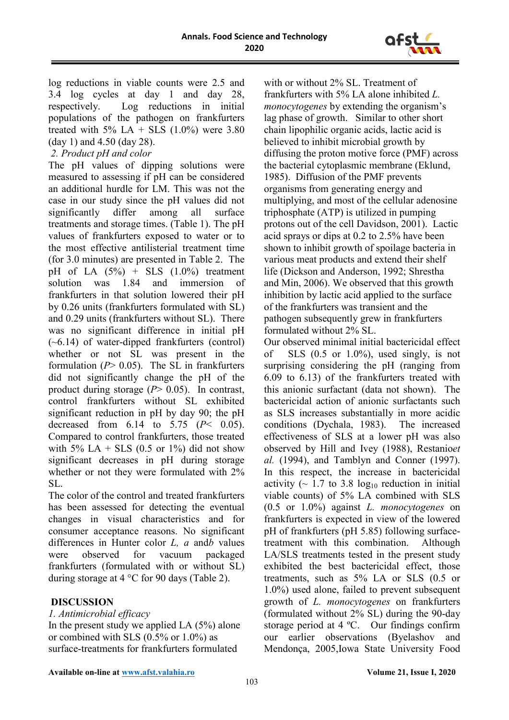

log reductions in viable counts were 2.5 and 3.4 log cycles at day 1 and day 28, respectively. Log reductions in initial populations of the pathogen on frankfurters treated with 5% LA + SLS  $(1.0\%)$  were 3.80 (day 1) and 4.50 (day 28).

*2. Product pH and color*

The pH values of dipping solutions were measured to assessing if pH can be considered an additional hurdle for LM. This was not the case in our study since the pH values did not significantly differ among all surface treatments and storage times. (Table 1). The pH values of frankfurters exposed to water or to the most effective antilisterial treatment time (for 3.0 minutes) are presented in Table 2. The pH of LA  $(5\%)$  + SLS  $(1.0\%)$  treatment solution was 1.84 and immersion of frankfurters in that solution lowered their pH by 0.26 units (frankfurters formulated with SL) and 0.29 units (frankfurters without SL). There was no significant difference in initial pH  $(-6.14)$  of water-dipped frankfurters (control) whether or not SL was present in the formulation (*P*> 0.05). The SL in frankfurters did not significantly change the pH of the product during storage (*P*> 0.05). In contrast, control frankfurters without SL exhibited significant reduction in pH by day 90; the pH decreased from 6.14 to 5.75 (*P*< 0.05). Compared to control frankfurters, those treated with 5% LA + SLS  $(0.5 \text{ or } 1\%)$  did not show significant decreases in pH during storage whether or not they were formulated with 2% SL.

The color of the control and treated frankfurters has been assessed for detecting the eventual changes in visual characteristics and for consumer acceptance reasons. No significant differences in Hunter color *L, a* and*b* values were observed for vacuum packaged frankfurters (formulated with or without SL) during storage at 4 °C for 90 days (Table 2).

### **DISCUSSION**

*1. Antimicrobial efficacy* 

In the present study we applied LA (5%) alone or combined with SLS (0.5% or 1.0%) as surface-treatments for frankfurters formulated

with or without 2% SL. Treatment of frankfurters with 5% LA alone inhibited *L. monocytogenes* by extending the organism's lag phase of growth. Similar to other short chain lipophilic organic acids, lactic acid is believed to inhibit microbial growth by diffusing the proton motive force (PMF) across the bacterial cytoplasmic membrane (Eklund, 1985). Diffusion of the PMF prevents organisms from generating energy and multiplying, and most of the cellular adenosine triphosphate (ATP) is utilized in pumping protons out of the cell Davidson, 2001). Lactic acid sprays or dips at 0.2 to 2.5% have been shown to inhibit growth of spoilage bacteria in various meat products and extend their shelf life (Dickson and Anderson, 1992; Shrestha and Min, 2006). We observed that this growth inhibition by lactic acid applied to the surface of the frankfurters was transient and the pathogen subsequently grew in frankfurters formulated without 2% SL.

Our observed minimal initial bactericidal effect of SLS  $(0.5 \text{ or } 1.0\%)$ , used singly, is not surprising considering the pH (ranging from 6.09 to 6.13) of the frankfurters treated with this anionic surfactant (data not shown). The bactericidal action of anionic surfactants such as SLS increases substantially in more acidic conditions (Dychala, 1983). The increased effectiveness of SLS at a lower pH was also observed by Hill and Ivey (1988), Restanio*et al.* (1994), and Tamblyn and Conner (1997). In this respect, the increase in bactericidal activity ( $\sim$  1.7 to 3.8 log<sub>10</sub> reduction in initial viable counts) of 5% LA combined with SLS (0.5 or 1.0%) against *L. monocytogenes* on frankfurters is expected in view of the lowered pH of frankfurters (pH 5.85) following surfacetreatment with this combination. Although LA/SLS treatments tested in the present study exhibited the best bactericidal effect, those treatments, such as 5% LA or SLS (0.5 or 1.0%) used alone, failed to prevent subsequent growth of *L. monocytogenes* on frankfurters (formulated without 2% SL) during the 90-day storage period at 4 ºC. Our findings confirm our earlier observations (Byelashov and Mendonça, 2005,Iowa State University Food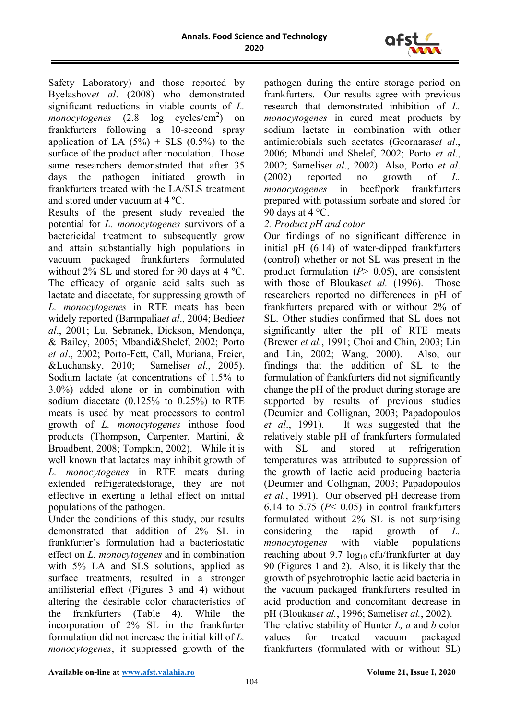

Safety Laboratory) and those reported by Byelashov*et al*. (2008) who demonstrated significant reductions in viable counts of *L. monocytogenes* (2.8 log cycles/cm<sup>2</sup>) on frankfurters following a 10-second spray application of LA  $(5\%)$  + SLS  $(0.5\%)$  to the surface of the product after inoculation. Those same researchers demonstrated that after 35 days the pathogen initiated growth in frankfurters treated with the LA/SLS treatment and stored under vacuum at 4 ºC.

Results of the present study revealed the potential for *L. monocytogenes* survivors of a bactericidal treatment to subsequently grow and attain substantially high populations in vacuum packaged frankfurters formulated without 2% SL and stored for 90 days at 4 ºC. The efficacy of organic acid salts such as lactate and diacetate, for suppressing growth of *L. monocytogenes* in RTE meats has been widely reported (Barmpalia*et al*., 2004; Bedie*et al*., 2001; Lu, Sebranek, Dickson, Mendonça, & Bailey, 2005; Mbandi&Shelef, 2002; Porto *et al*., 2002; Porto-Fett, Call, Muriana, Freier, &Luchansky, 2010; Samelis*et al*., 2005). Sodium lactate (at concentrations of 1.5% to 3.0%) added alone or in combination with sodium diacetate (0.125% to 0.25%) to RTE meats is used by meat processors to control growth of *L. monocytogenes* inthose food products (Thompson, Carpenter, Martini, & Broadbent, 2008; Tompkin, 2002). While it is well known that lactates may inhibit growth of *L. monocytogenes* in RTE meats during extended refrigeratedstorage, they are not effective in exerting a lethal effect on initial populations of the pathogen.

Under the conditions of this study, our results demonstrated that addition of 2% SL in frankfurter's formulation had a bacteriostatic effect on *L. monocytogenes* and in combination with 5% LA and SLS solutions, applied as surface treatments, resulted in a stronger antilisterial effect (Figures 3 and 4) without altering the desirable color characteristics of the frankfurters (Table 4). While the incorporation of 2% SL in the frankfurter formulation did not increase the initial kill of *L. monocytogenes*, it suppressed growth of the pathogen during the entire storage period on frankfurters. Our results agree with previous research that demonstrated inhibition of *L. monocytogenes* in cured meat products by sodium lactate in combination with other antimicrobials such acetates (Geornaras*et al*., 2006; Mbandi and Shelef, 2002; Porto *et al*., 2002; Samelis*et al*., 2002). Also, Porto *et al*. (2002) reported no growth of *L. monocytogenes* in beef/pork frankfurters prepared with potassium sorbate and stored for 90 days at  $4^{\circ}$ C.

# *2. Product pH and color*

Our findings of no significant difference in initial pH (6.14) of water-dipped frankfurters (control) whether or not SL was present in the product formulation (*P*> 0.05), are consistent with those of Bloukas*et al.* (1996). Those researchers reported no differences in pH of frankfurters prepared with or without 2% of SL. Other studies confirmed that SL does not significantly alter the pH of RTE meats (Brewer *et al.*, 1991; Choi and Chin, 2003; Lin and Lin, 2002; Wang, 2000). Also, our findings that the addition of SL to the formulation of frankfurters did not significantly change the pH of the product during storage are supported by results of previous studies (Deumier and Collignan, 2003; Papadopoulos *et al*., 1991). It was suggested that the relatively stable pH of frankfurters formulated with SL and stored at refrigeration temperatures was attributed to suppression of the growth of lactic acid producing bacteria (Deumier and Collignan, 2003; Papadopoulos *et al.*, 1991). Our observed pH decrease from 6.14 to 5.75 ( $P$ < 0.05) in control frankfurters formulated without 2% SL is not surprising considering the rapid growth of *L. monocytogenes* with viable populations reaching about 9.7  $log_{10}$  cfu/frankfurter at day 90 (Figures 1 and 2). Also, it is likely that the growth of psychrotrophic lactic acid bacteria in the vacuum packaged frankfurters resulted in acid production and concomitant decrease in pH (Bloukas*et al.*, 1996; Samelis*et al.*, 2002). The relative stability of Hunter *L, a* and *b* color values for treated vacuum packaged frankfurters (formulated with or without SL)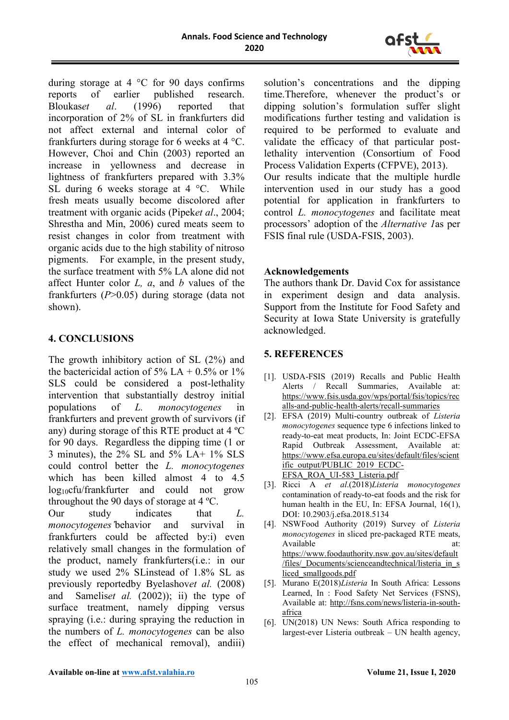

during storage at 4 °C for 90 days confirms reports of earlier published research. Bloukas*et al*. (1996) reported that incorporation of 2% of SL in frankfurters did not affect external and internal color of frankfurters during storage for 6 weeks at 4 °C. However, Choi and Chin (2003) reported an increase in yellowness and decrease in lightness of frankfurters prepared with 3.3% SL during 6 weeks storage at 4 °C. While fresh meats usually become discolored after treatment with organic acids (Pipek*et al*., 2004; Shrestha and Min, 2006) cured meats seem to resist changes in color from treatment with organic acids due to the high stability of nitroso pigments. For example, in the present study, the surface treatment with 5% LA alone did not affect Hunter color *L, a*, and *b* values of the frankfurters (*P*>0.05) during storage (data not shown).

# **4. CONCLUSIONS**

The growth inhibitory action of SL (2%) and the bactericidal action of 5% LA +  $0.5\%$  or 1% SLS could be considered a post-lethality intervention that substantially destroy initial populations of *L. monocytogenes* in frankfurters and prevent growth of survivors (if any) during storage of this RTE product at 4 ºC for 90 days. Regardless the dipping time (1 or 3 minutes), the 2% SL and 5% LA+ 1% SLS could control better the *L. monocytogenes* which has been killed almost 4 to 4.5 log<sub>10</sub>cfu/frankfurter and could not grow throughout the 90 days of storage at 4 ºC. Our study indicates that *L.* 

*monocytogenes'*behavior and survival in frankfurters could be affected by:i) even relatively small changes in the formulation of the product, namely frankfurters(i.e.: in our study we used 2% SLinstead of 1.8% SL as previously reportedby Byelashov*et al.* (2008) and Samelis*et al.* (2002)); ii) the type of surface treatment, namely dipping versus spraying (i.e.: during spraying the reduction in the numbers of *L. monocytogenes* can be also the effect of mechanical removal), andiii)

solution's concentrations and the dipping time.Therefore, whenever the product's or dipping solution's formulation suffer slight modifications further testing and validation is required to be performed to evaluate and validate the efficacy of that particular postlethality intervention (Consortium of Food Process Validation Experts (CFPVE), 2013). Our results indicate that the multiple hurdle

intervention used in our study has a good potential for application in frankfurters to control *L. monocytogenes* and facilitate meat processors' adoption of the *Alternative 1*as per FSIS final rule (USDA-FSIS, 2003).

#### **Acknowledgements**

The authors thank Dr. David Cox for assistance in experiment design and data analysis. Support from the Institute for Food Safety and Security at Iowa State University is gratefully acknowledged.

# **5. REFERENCES**

- [1]. USDA-FSIS (2019) Recalls and Public Health Alerts / Recall Summaries, Available at: [https://www.fsis.usda.gov/wps/portal/fsis/topics/rec](https://www.fsis.usda.gov/wps/portal/fsis/topics/recalls-and-public-health-alerts/recall-summaries) [alls-and-public-health-alerts/recall-summaries](https://www.fsis.usda.gov/wps/portal/fsis/topics/recalls-and-public-health-alerts/recall-summaries)
- [2]. EFSA (2019) Multi-country outbreak of *Listeria monocytogenes* sequence type 6 infections linked to ready-to-eat meat products, In: Joint ECDC-EFSA Rapid Outbreak Assessment, Available at: [https://www.efsa.europa.eu/sites/default/files/scient](https://www.efsa.europa.eu/sites/default/files/scientific_output/PUBLIC_2019_ECDC-EFSA_ROA_UI-583_Listeria.pdf) [ific\\_output/PUBLIC\\_2019\\_ECDC-](https://www.efsa.europa.eu/sites/default/files/scientific_output/PUBLIC_2019_ECDC-EFSA_ROA_UI-583_Listeria.pdf)[EFSA\\_ROA\\_UI-583\\_Listeria.pdf](https://www.efsa.europa.eu/sites/default/files/scientific_output/PUBLIC_2019_ECDC-EFSA_ROA_UI-583_Listeria.pdf)
- [3]. Ricci A *et al*.(2018)*Listeria monocytogenes* contamination of ready‐to‐eat foods and the risk for human health in the EU, In: EFSA Journal, 16(1), DOI: 10.2903/j.efsa.2018.5134
- [4]. NSWFood Authority (2019) Survey of *Listeria monocytogenes* in sliced pre-packaged RTE meats, Available at: [https://www.foodauthority.nsw.gov.au/sites/default](https://www.foodauthority.nsw.gov.au/sites/default/files/_Documents/scienceandtechnical/listeria_in_sliced_smallgoods.pdf) [/files/\\_Documents/scienceandtechnical/listeria\\_in\\_s](https://www.foodauthority.nsw.gov.au/sites/default/files/_Documents/scienceandtechnical/listeria_in_sliced_smallgoods.pdf) [liced\\_smallgoods.pdf](https://www.foodauthority.nsw.gov.au/sites/default/files/_Documents/scienceandtechnical/listeria_in_sliced_smallgoods.pdf)
- [5]. Murano E(2018)*Listeria* In South Africa: Lessons Learned, In : Food Safety Net Services (FSNS), Available at: [http://fsns.com/news/listeria-in-south](http://fsns.com/news/listeria-in-south-africa)[africa](http://fsns.com/news/listeria-in-south-africa)
- [6]. UN(2018) UN News: South Africa responding to largest-ever Listeria outbreak – UN health agency,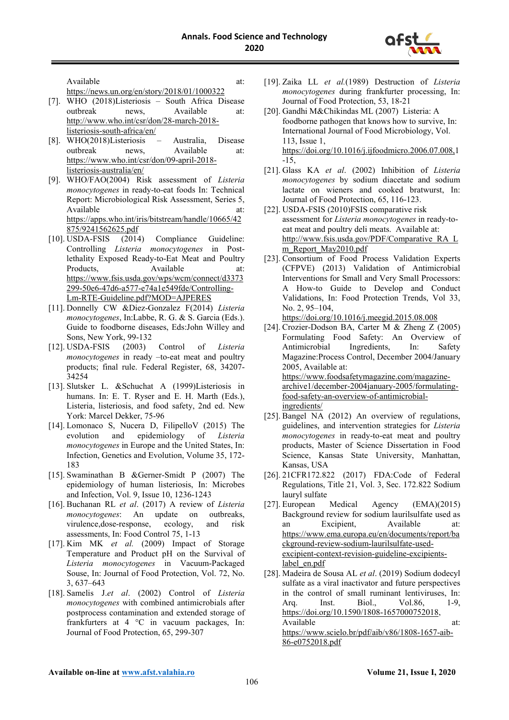

Available at: at:

<https://news.un.org/en/story/2018/01/1000322>

- [7]. WHO (2018)Listeriosis South Africa Disease outbreak news, Available at: [http://www.who.int/csr/don/28-march-2018](http://www.who.int/csr/don/28-march-2018-listeriosis-south-africa/en/) [listeriosis-south-africa/en/](http://www.who.int/csr/don/28-march-2018-listeriosis-south-africa/en/)
- [8]. WHO(2018)Listeriosis Australia, Disease outbreak news, Available at: [https://www.who.int/csr/don/09-april-2018](https://www.who.int/csr/don/09-april-2018-listeriosis-australia/en/) [listeriosis-australia/en/](https://www.who.int/csr/don/09-april-2018-listeriosis-australia/en/)
- [9]. WHO/FAO(2004) Risk assessment of *Listeria monocytogenes* in ready-to-eat foods In: Technical Report: Microbiological Risk Assessment, Series 5, Available at: at: [https://apps.who.int/iris/bitstream/handle/10665/42](https://apps.who.int/iris/bitstream/handle/10665/42875/9241562625.pdf) [875/9241562625.pdf](https://apps.who.int/iris/bitstream/handle/10665/42875/9241562625.pdf)
- [10]. USDA-FSIS (2014) Compliance Guideline: Controlling *Listeria monocytogenes* in Postlethality Exposed Ready-to-Eat Meat and Poultry Products. Available at: [https://www.fsis.usda.gov/wps/wcm/connect/d3373](https://www.fsis.usda.gov/wps/wcm/connect/d3373299-50e6-47d6-a577-e74a1e549fde/Controlling-Lm-RTE-Guideline.pdf?MOD=AJPERES) [299-50e6-47d6-a577-e74a1e549fde/Controlling-](https://www.fsis.usda.gov/wps/wcm/connect/d3373299-50e6-47d6-a577-e74a1e549fde/Controlling-Lm-RTE-Guideline.pdf?MOD=AJPERES)[Lm-RTE-Guideline.pdf?MOD=AJPERES](https://www.fsis.usda.gov/wps/wcm/connect/d3373299-50e6-47d6-a577-e74a1e549fde/Controlling-Lm-RTE-Guideline.pdf?MOD=AJPERES)
- [11]. Donnelly CW &Diez-Gonzalez F(2014) *Listeria monocytogenes*, In:Labbe, R. G. & S. Garcia (Eds.). Guide to foodborne diseases, Eds:John Willey and Sons, New York, 99-132
- [12]. USDA-FSIS (2003) Control of *Listeria monocytogenes* in ready –to-eat meat and poultry products; final rule. Federal Register, 68, 34207- 34254
- [13]. Slutsker L. &Schuchat A (1999)Listeriosis in humans. In: E. T. Ryser and E. H. Marth (Eds.), Listeria, listeriosis, and food safety, 2nd ed. New York: Marcel Dekker, 75-96
- [14]. Lomonaco S, Nucera D, FilipelloV (2015) The evolution and epidemiology of *Listeria monocytogenes* in Europe and the United States, In: Infection, Genetics and Evolution, Volume 35, 172- 183
- [15]. Swaminathan B &Gerner-Smidt P (2007) The epidemiology of human listeriosis, In: Microbes and Infection, Vol. 9, Issue 10, 1236-1243
- [16]. Buchanan RL *et al*. (2017) A review of *Listeria monocytogenes*: An update on outbreaks, virulence,dose-response, ecology, and risk assessments, In: Food Control 75, 1-13
- [17]. Kim MK *et al.* (2009) Impact of Storage Temperature and Product pH on the Survival of *Listeria monocytogenes* in Vacuum-Packaged Souse, In: Journal of Food Protection, Vol. 72, No. 3, 637–643
- [18]. Samelis J.*et al*. (2002) Control of *Listeria monocytogenes* with combined antimicrobials after postprocess contamination and extended storage of frankfurters at 4 °C in vacuum packages, In: Journal of Food Protection, 65, 299-307
- [19]. Zaika LL *et al.*(1989) Destruction of *Listeria monocytogenes* during frankfurter processing, In: Journal of Food Protection, 53, 18-21
- [20]. Gandhi M&Chikindas ML (2007) Listeria: A foodborne pathogen that knows how to survive, In: International Journal of Food Microbiology, Vol. 113, Issue 1, [https://doi.org/10.1016/j.ijfoodmicro.2006.07.008,](https://doi.org/10.1016/j.ijfoodmicro.2006.07.008)1 -15,
- [21]. Glass KA *et al*. (2002) Inhibition of *Listeria monocytogenes* by sodium diacetate and sodium lactate on wieners and cooked bratwurst, In: Journal of Food Protection, 65, 116-123.
- [22]. USDA-FSIS (2010)FSIS comparative risk assessment for *Listeria monocytogenes* in ready-toeat meat and poultry deli meats. Available at: [http://www.fsis.usda.gov/PDF/Comparative\\_RA\\_L](http://www.fsis.usda.gov/PDF/Comparative_RA_Lm_Report_May2010.pdf) [m\\_Report\\_May2010.pdf](http://www.fsis.usda.gov/PDF/Comparative_RA_Lm_Report_May2010.pdf)
- [23]. Consortium of Food Process Validation Experts (CFPVE) (2013) Validation of Antimicrobial Interventions for Small and Very Small Processors: A How-to Guide to Develop and Conduct Validations, In: Food Protection Trends, Vol 33, No. 2, 95–104,

<https://doi.org/10.1016/j.meegid.2015.08.008>

- [24]. Crozier-Dodson BA, Carter M & Zheng Z (2005) Formulating Food Safety: An Overview of Antimicrobial Ingredients, In: Safety Magazine:Process Control, December 2004/January 2005, Available at: [https://www.foodsafetymagazine.com/magazine](https://www.foodsafetymagazine.com/magazine-archive1/december-2004january-2005/formulating-food-safety-an-overview-of-antimicrobial-ingredients/)[archive1/december-2004january-2005/formulating](https://www.foodsafetymagazine.com/magazine-archive1/december-2004january-2005/formulating-food-safety-an-overview-of-antimicrobial-ingredients/)[food-safety-an-overview-of-antimicrobial](https://www.foodsafetymagazine.com/magazine-archive1/december-2004january-2005/formulating-food-safety-an-overview-of-antimicrobial-ingredients/)[ingredients/](https://www.foodsafetymagazine.com/magazine-archive1/december-2004january-2005/formulating-food-safety-an-overview-of-antimicrobial-ingredients/)
- [25]. Bangel NA (2012) An overview of regulations, guidelines, and intervention strategies for *Listeria monocytogenes* in ready-to-eat meat and poultry products, Master of Science Dissertation in Food Science, Kansas State University, Manhattan, Kansas, USA
- [26]. 21CFR172.822 (2017) FDA:Code of Federal Regulations, Title 21, Vol. 3, Sec. 172.822 Sodium lauryl sulfate
- [27]. European Medical Agency (EMA)(2015) Background review for sodium laurilsulfate used as an Excipient, Available at: [https://www.ema.europa.eu/en/documents/report/ba](https://www.ema.europa.eu/en/documents/report/background-review-sodium-laurilsulfate-used-excipient-context-revision-guideline-excipients-label_en.pdf) [ckground-review-sodium-laurilsulfate-used](https://www.ema.europa.eu/en/documents/report/background-review-sodium-laurilsulfate-used-excipient-context-revision-guideline-excipients-label_en.pdf)[excipient-context-revision-guideline-excipients](https://www.ema.europa.eu/en/documents/report/background-review-sodium-laurilsulfate-used-excipient-context-revision-guideline-excipients-label_en.pdf)label en.pdf
- [28]. Madeira de Sousa AL *et al*. (2019) Sodium dodecyl sulfate as a viral inactivator and future perspectives in the control of small ruminant lentiviruses, In: Arq. Inst. Biol., Vol.86, 1-9, [https://doi.org/10.1590/1808-1657000752018,](https://doi.org/10.1590/1808-1657000752018) Available at: at: [https://www.scielo.br/pdf/aib/v86/1808-1657-aib-](https://www.scielo.br/pdf/aib/v86/1808-1657-aib-86-e0752018.pdf)[86-e0752018.pdf](https://www.scielo.br/pdf/aib/v86/1808-1657-aib-86-e0752018.pdf)

**Available on-line at [www.afst.valahia.ro](http://www.afst.valahia.ro/)**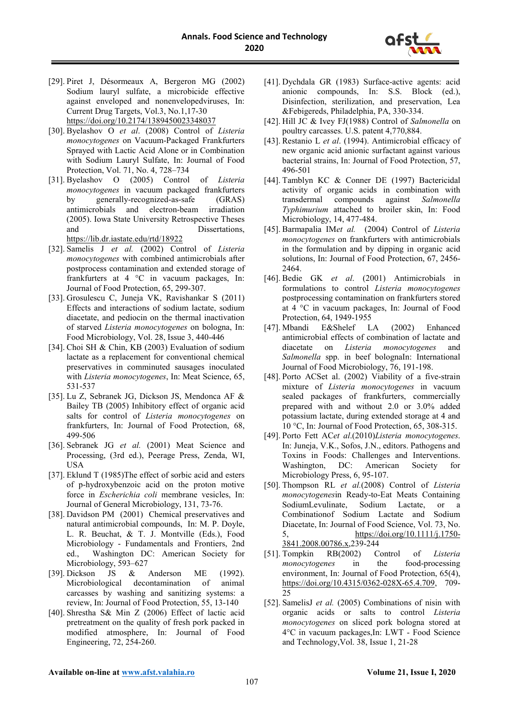

- [29]. Piret J, Désormeaux A, Bergeron MG (2002) Sodium lauryl sulfate, a microbicide effective against enveloped and nonenvelopedviruses, In: Current Drug Targets, Vol.3, No.1,17-30 <https://doi.org/10.2174/1389450023348037>
- [30]. Byelashov O *et al*. (2008) Control of *Listeria monocytogenes* on Vacuum-Packaged Frankfurters Sprayed with Lactic Acid Alone or in Combination with Sodium Lauryl Sulfate, In: Journal of Food Protection, Vol. 71, No. 4, 728–734
- [31]. Byelashov O (2005) Control of *Listeria monocytogenes* in vacuum packaged frankfurters by generally-recognized-as-safe (GRAS) antimicrobials and electron-beam irradiation (2005). Iowa State University Retrospective Theses and Dissertations, <https://lib.dr.iastate.edu/rtd/18922>
- [32]. Samelis J *et al.* (2002) Control of *Listeria monocytogenes* with combined antimicrobials after postprocess contamination and extended storage of frankfurters at 4 °C in vacuum packages, In: Journal of Food Protection, 65, 299-307.
- [33]. Grosulescu C, Juneja VK, Ravishankar S (2011) Effects and interactions of sodium lactate, sodium diacetate, and pediocin on the thermal inactivation of starved *Listeria monocytogenes* on bologna, In: Food Microbiology, Vol. 28, Issue 3, 440-446
- [34]. Choi SH & Chin, KB (2003) Evaluation of sodium lactate as a replacement for conventional chemical preservatives in comminuted sausages inoculated with *Listeria monocytogenes*, In: Meat Science, 65, 531-537
- [35]. Lu Z, Sebranek JG, Dickson JS, Mendonca AF & Bailey TB (2005) Inhibitory effect of organic acid salts for control of *Listeria monocytogenes* on frankfurters, In: Journal of Food Protection, 68, 499-506
- [36]. Sebranek JG *et al.* (2001) Meat Science and Processing, (3rd ed.), Peerage Press, Zenda, WI, USA
- [37]. Eklund T (1985)The effect of sorbic acid and esters of p-hydroxybenzoic acid on the proton motive force in *Escherichia coli* membrane vesicles, In: Journal of General Microbiology, 131, 73-76.
- [38]. Davidson PM (2001) Chemical preservatives and natural antimicrobial compounds, In: M. P. Doyle, L. R. Beuchat, & T. J. Montville (Eds.), Food Microbiology - Fundamentals and Frontiers, 2nd ed., Washington DC: American Society for Microbiology, 593–627
- [39]. Dickson JS & Anderson ME (1992). Microbiological decontamination of animal carcasses by washing and sanitizing systems: a review, In: Journal of Food Protection, 55, 13-140
- [40]. Shrestha S& Min Z (2006) Effect of lactic acid pretreatment on the quality of fresh pork packed in modified atmosphere, In: Journal of Food Engineering, 72, 254-260.
- [41]. Dychdala GR (1983) Surface-active agents: acid anionic compounds, In: S.S. Block (ed.), Disinfection, sterilization, and preservation, Lea &Febigereds, Philadelphia, PA, 330-334.
- [42]. Hill JC & Ivey FJ(1988) Control of *Salmonella* on poultry carcasses. U.S. patent 4,770,884.
- [43]. Restanio L *et al*. (1994). Antimicrobial efficacy of new organic acid anionic surfactant against various bacterial strains, In: Journal of Food Protection, 57, 496-501
- [44]. Tamblyn KC & Conner DE (1997) Bactericidal activity of organic acids in combination with transdermal compounds against *Salmonella Typhimurium* attached to broiler skin, In: Food Microbiology, 14, 477-484.
- [45]. Barmapalia IM*et al.* (2004) Control of *Listeria monocytogenes* on frankfurters with antimicrobials in the formulation and by dipping in organic acid solutions, In: Journal of Food Protection, 67, 2456- 2464.
- [46]. Bedie GK *et al*. (2001) Antimicrobials in formulations to control *Listeria monocytogenes*  postprocessing contamination on frankfurters stored at 4 °C in vacuum packages, In: Journal of Food Protection, 64, 1949-1955<br>Mbandi E&Shelef L
- [47]. Mbandi E&Shelef LA (2002) Enhanced antimicrobial effects of combination of lactate and diacetate on *Listeria monocytogenes* and *Salmonella* spp. in beef bolognaIn: International Journal of Food Microbiology, 76, 191-198.
- [48]. Porto ACSet al. (2002) Viability of a five-strain mixture of *Listeria monocytogenes* in vacuum sealed packages of frankfurters, commercially prepared with and without 2.0 or 3.0% added potassium lactate, during extended storage at 4 and 10 °C, In: Journal of Food Protection, 65, 308-315.
- [49]. Porto Fett AC*et al*.(2010)*Listeria monocytogenes*. In: Juneja, V.K., Sofos, J.N., editors. Pathogens and Toxins in Foods: Challenges and Interventions. Washington, DC: American Society for Microbiology Press, 6, 95-107.
- [50]. Thompson RL *et al.*(2008) Control of *Listeria monocytogenes*in Ready-to-Eat Meats Containing SodiumLevulinate, Sodium Lactate, or a Combinationof Sodium Lactate and Sodium Diacetate, In: Journal of Food Science, Vol. 73, No. 5, [https://doi.org/10.1111/j.1750-](https://doi.org/10.1111/j.1750-3841.2008.00786.x) [3841.2008.00786.x,](https://doi.org/10.1111/j.1750-3841.2008.00786.x)239-244
- [51]. Tompkin RB(2002) Control of *Listeria monocytogenes* in the food-processing environment, In: Journal of Food Protection, 65(4), [https://doi.org/10.4315/0362-028X-65.4.709,](https://doi.org/10.4315/0362-028X-65.4.709) 709- 25
- [52]. SamelisJ *et al.* (2005) Combinations of nisin with organic acids or salts to control *Listeria monocytogenes* on sliced pork bologna stored at 4°C in vacuum packages,In: LWT - Food Science and Technology,Vol. 38, Issue 1, 21-28